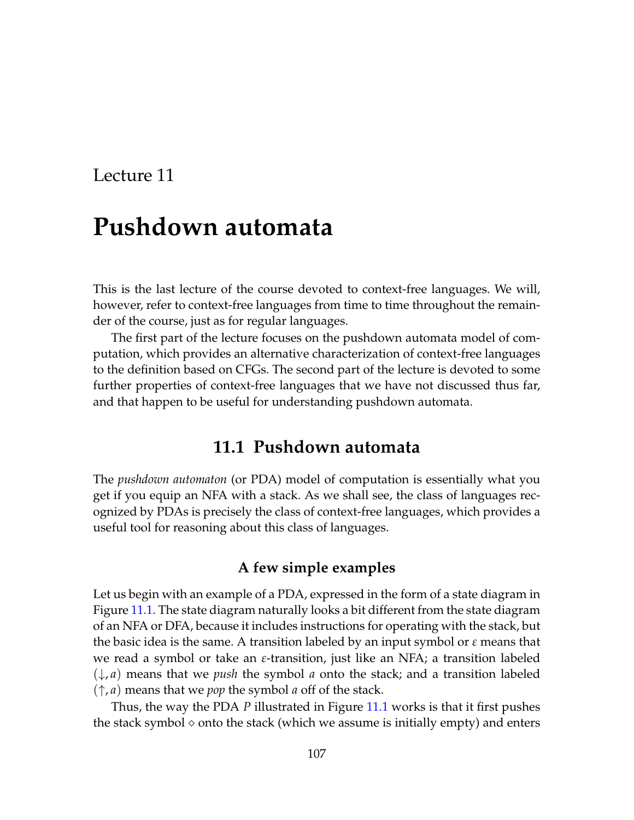# **Pushdown automata**

This is the last lecture of the course devoted to context-free languages. We will, however, refer to context-free languages from time to time throughout the remainder of the course, just as for regular languages.

The first part of the lecture focuses on the pushdown automata model of computation, which provides an alternative characterization of context-free languages to the definition based on CFGs. The second part of the lecture is devoted to some further properties of context-free languages that we have not discussed thus far, and that happen to be useful for understanding pushdown automata.

# **11.1 Pushdown automata**

The *pushdown automaton* (or PDA) model of computation is essentially what you get if you equip an NFA with a stack. As we shall see, the class of languages recognized by PDAs is precisely the class of context-free languages, which provides a useful tool for reasoning about this class of languages.

## **A few simple examples**

Let us begin with an example of a PDA, expressed in the form of a state diagram in Figure [11.1.](#page-1-0) The state diagram naturally looks a bit different from the state diagram of an NFA or DFA, because it includes instructions for operating with the stack, but the basic idea is the same. A transition labeled by an input symbol or *ε* means that we read a symbol or take an *ε*-transition, just like an NFA; a transition labeled (↓, *a*) means that we *push* the symbol *a* onto the stack; and a transition labeled (↑, *a*) means that we *pop* the symbol *a* off of the stack.

Thus, the way the PDA *P* illustrated in Figure [11.1](#page-1-0) works is that it first pushes the stack symbol  $\diamond$  onto the stack (which we assume is initially empty) and enters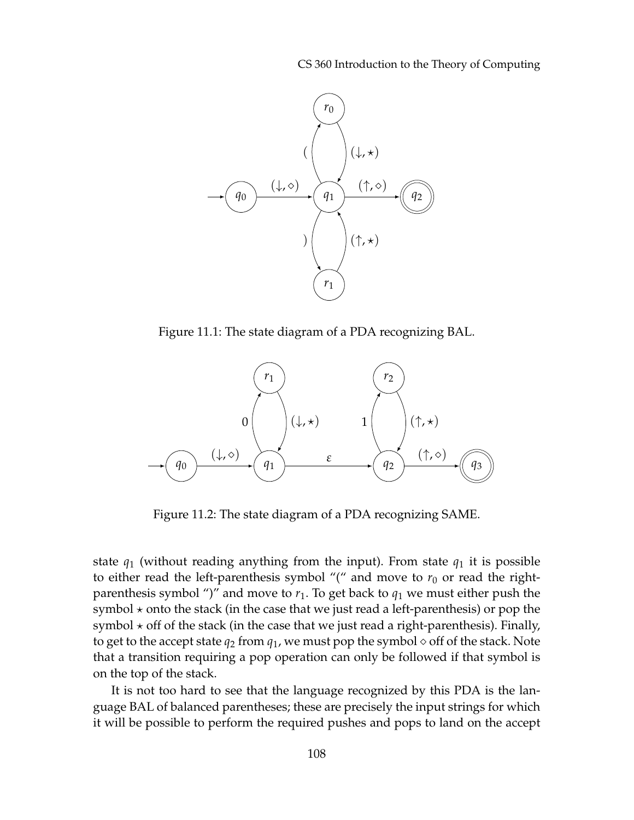CS 360 Introduction to the Theory of Computing



<span id="page-1-0"></span>Figure 11.1: The state diagram of a PDA recognizing BAL.



<span id="page-1-1"></span>Figure 11.2: The state diagram of a PDA recognizing SAME.

state  $q_1$  (without reading anything from the input). From state  $q_1$  it is possible to either read the left-parenthesis symbol "(" and move to  $r_0$  or read the rightparenthesis symbol ")" and move to  $r_1$ . To get back to  $q_1$  we must either push the symbol  $\star$  onto the stack (in the case that we just read a left-parenthesis) or pop the symbol  $\star$  off of the stack (in the case that we just read a right-parenthesis). Finally, to get to the accept state  $q_2$  from  $q_1$ , we must pop the symbol  $\diamond$  off of the stack. Note that a transition requiring a pop operation can only be followed if that symbol is on the top of the stack.

It is not too hard to see that the language recognized by this PDA is the language BAL of balanced parentheses; these are precisely the input strings for which it will be possible to perform the required pushes and pops to land on the accept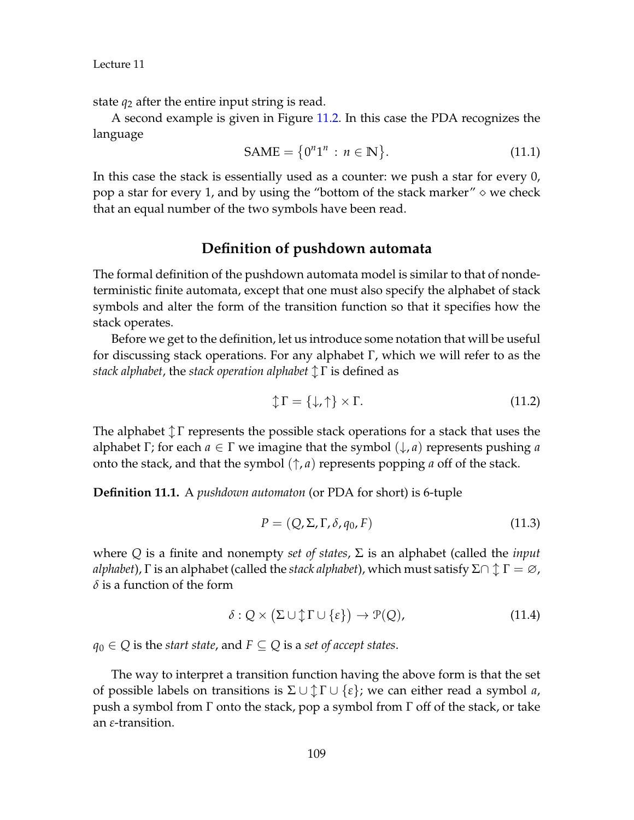state  $q_2$  after the entire input string is read.

A second example is given in Figure [11.2.](#page-1-1) In this case the PDA recognizes the language

$$
SAME = \{0^n1^n : n \in \mathbb{N}\}.
$$
 (11.1)

In this case the stack is essentially used as a counter: we push a star for every 0, pop a star for every 1, and by using the "bottom of the stack marker"  $\diamond$  we check that an equal number of the two symbols have been read.

## **Definition of pushdown automata**

The formal definition of the pushdown automata model is similar to that of nondeterministic finite automata, except that one must also specify the alphabet of stack symbols and alter the form of the transition function so that it specifies how the stack operates.

Before we get to the definition, let us introduce some notation that will be useful for discussing stack operations. For any alphabet Γ, which we will refer to as the *stack alphabet, the stack operation alphabet*  $\uparrow$  Γ is defined as

$$
\updownarrow \Gamma = \{\downarrow, \uparrow\} \times \Gamma. \tag{11.2}
$$

The alphabet  $\uparrow \Gamma$  represents the possible stack operations for a stack that uses the alphabet Γ; for each *a* ∈ Γ we imagine that the symbol (↓, *a*) represents pushing *a* onto the stack, and that the symbol  $(\uparrow, a)$  represents popping *a* off of the stack.

**Definition 11.1.** A *pushdown automaton* (or PDA for short) is 6-tuple

$$
P = (Q, \Sigma, \Gamma, \delta, q_0, F) \tag{11.3}
$$

where *Q* is a finite and nonempty *set of states*, Σ is an alphabet (called the *input alphabet*), Γ is an alphabet (called the *stack alphabet*), which must satisfy  $\Sigma \cap \Upsilon = \varnothing$ , *δ* is a function of the form

$$
\delta: Q \times (\Sigma \cup \Uparrow \Gamma \cup \{\varepsilon\}) \to \mathcal{P}(Q), \tag{11.4}
$$

*q*<sup>0</sup> ∈ *Q* is the *start state*, and  $F ⊂ Q$  is a *set of accept states*.

The way to interpret a transition function having the above form is that the set of possible labels on transitions is  $\Sigma \cup \Upsilon \Gamma \cup \{ \varepsilon \}$ ; we can either read a symbol *a*, push a symbol from  $\Gamma$  onto the stack, pop a symbol from  $\Gamma$  off of the stack, or take an *ε*-transition.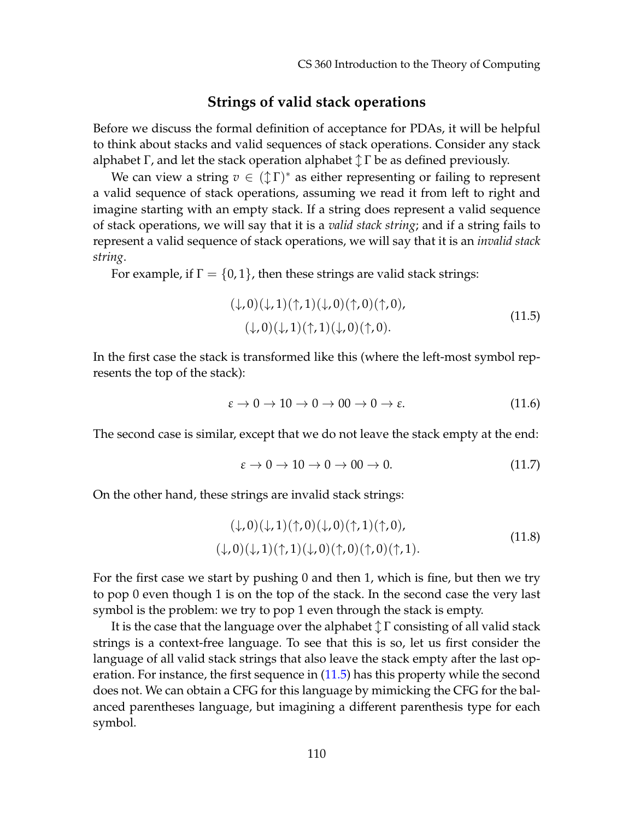### **Strings of valid stack operations**

Before we discuss the formal definition of acceptance for PDAs, it will be helpful to think about stacks and valid sequences of stack operations. Consider any stack alphabet Γ, and let the stack operation alphabet  $\updownarrow \Gamma$  be as defined previously.

We can view a string  $v \in (\mathcal{L} \Gamma)^*$  as either representing or failing to represent a valid sequence of stack operations, assuming we read it from left to right and imagine starting with an empty stack. If a string does represent a valid sequence of stack operations, we will say that it is a *valid stack string*; and if a string fails to represent a valid sequence of stack operations, we will say that it is an *invalid stack string*.

For example, if  $\Gamma = \{0, 1\}$ , then these strings are valid stack strings:

<span id="page-3-0"></span>
$$
(\downarrow, 0)(\downarrow, 1)(\uparrow, 1)(\downarrow, 0)(\uparrow, 0)(\uparrow, 0),(\downarrow, 0)(\downarrow, 1)(\uparrow, 1)(\downarrow, 0)(\uparrow, 0).
$$
\n(11.5)

In the first case the stack is transformed like this (where the left-most symbol represents the top of the stack):

$$
\varepsilon \to 0 \to 10 \to 0 \to 00 \to 0 \to \varepsilon. \tag{11.6}
$$

The second case is similar, except that we do not leave the stack empty at the end:

$$
\varepsilon \to 0 \to 10 \to 0 \to 00 \to 0. \tag{11.7}
$$

On the other hand, these strings are invalid stack strings:

$$
(\downarrow, 0)(\downarrow, 1)(\uparrow, 0)(\downarrow, 0)(\uparrow, 1)(\uparrow, 0),(\downarrow, 0)(\downarrow, 1)(\uparrow, 1)(\downarrow, 0)(\uparrow, 0)(\uparrow, 0)(\uparrow, 1).
$$
(11.8)

For the first case we start by pushing 0 and then 1, which is fine, but then we try to pop 0 even though 1 is on the top of the stack. In the second case the very last symbol is the problem: we try to pop 1 even through the stack is empty.

It is the case that the language over the alphabet  $\uparrow \Gamma$  consisting of all valid stack strings is a context-free language. To see that this is so, let us first consider the language of all valid stack strings that also leave the stack empty after the last operation. For instance, the first sequence in [\(11.5\)](#page-3-0) has this property while the second does not. We can obtain a CFG for this language by mimicking the CFG for the balanced parentheses language, but imagining a different parenthesis type for each symbol.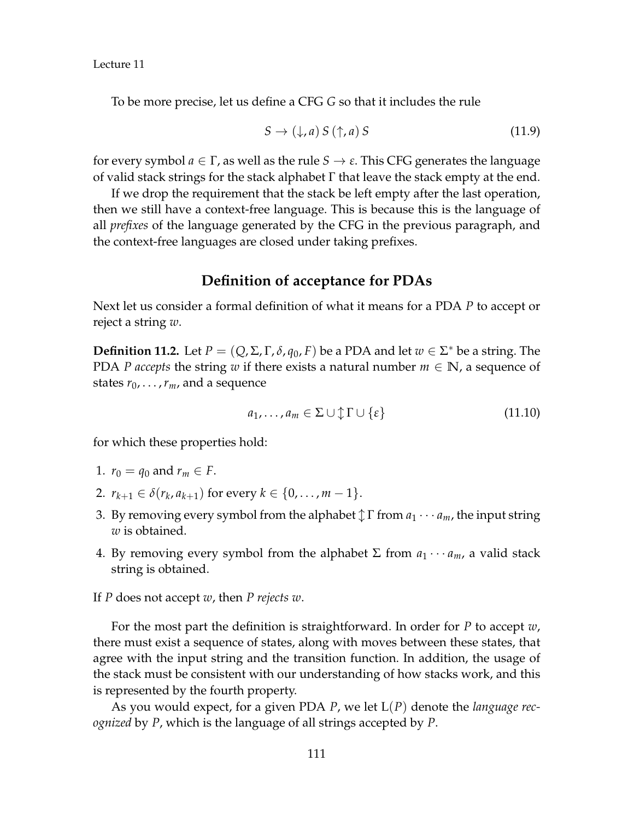To be more precise, let us define a CFG *G* so that it includes the rule

$$
S \to (\downarrow, a) \, S \, (\uparrow, a) \, S \tag{11.9}
$$

for every symbol  $a \in \Gamma$ , as well as the rule  $S \to \varepsilon$ . This CFG generates the language of valid stack strings for the stack alphabet  $Γ$  that leave the stack empty at the end.

If we drop the requirement that the stack be left empty after the last operation, then we still have a context-free language. This is because this is the language of all *prefixes* of the language generated by the CFG in the previous paragraph, and the context-free languages are closed under taking prefixes.

## **Definition of acceptance for PDAs**

Next let us consider a formal definition of what it means for a PDA *P* to accept or reject a string *w*.

**Definition 11.2.** Let  $P = (Q, \Sigma, \Gamma, \delta, q_0, F)$  be a PDA and let  $w \in \Sigma^*$  be a string. The PDA *P* accepts the string *w* if there exists a natural number  $m \in \mathbb{N}$ , a sequence of states  $r_0$ , . . . ,  $r_m$ , and a sequence

$$
a_1, \ldots, a_m \in \Sigma \cup \mathcal{L} \cap \{ \varepsilon \} \tag{11.10}
$$

for which these properties hold:

- 1.  $r_0 = q_0$  and  $r_m \in F$ .
- 2.  $r_{k+1} \in \delta(r_k, a_{k+1})$  for every  $k \in \{0, \ldots, m-1\}.$
- 3. By removing every symbol from the alphabet  $\updownarrow \Gamma$  from  $a_1 \cdots a_m$ , the input string *w* is obtained.
- 4. By removing every symbol from the alphabet  $\Sigma$  from  $a_1 \cdots a_m$ , a valid stack string is obtained.
- If *P* does not accept *w*, then *P rejects w*.

For the most part the definition is straightforward. In order for *P* to accept *w*, there must exist a sequence of states, along with moves between these states, that agree with the input string and the transition function. In addition, the usage of the stack must be consistent with our understanding of how stacks work, and this is represented by the fourth property.

As you would expect, for a given PDA *P*, we let L(*P*) denote the *language recognized* by *P*, which is the language of all strings accepted by *P*.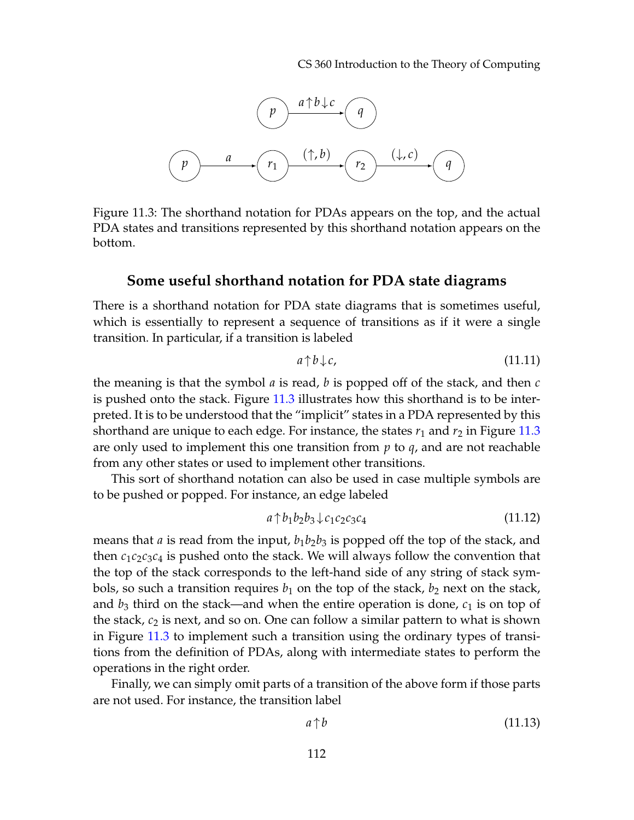

<span id="page-5-0"></span>Figure 11.3: The shorthand notation for PDAs appears on the top, and the actual PDA states and transitions represented by this shorthand notation appears on the bottom.

#### **Some useful shorthand notation for PDA state diagrams**

There is a shorthand notation for PDA state diagrams that is sometimes useful, which is essentially to represent a sequence of transitions as if it were a single transition. In particular, if a transition is labeled

$$
a \uparrow b \downarrow c,\tag{11.11}
$$

the meaning is that the symbol *a* is read, *b* is popped off of the stack, and then *c* is pushed onto the stack. Figure [11.3](#page-5-0) illustrates how this shorthand is to be interpreted. It is to be understood that the "implicit" states in a PDA represented by this shorthand are unique to each edge. For instance, the states  $r_1$  and  $r_2$  in Figure [11.3](#page-5-0) are only used to implement this one transition from *p* to *q*, and are not reachable from any other states or used to implement other transitions.

This sort of shorthand notation can also be used in case multiple symbols are to be pushed or popped. For instance, an edge labeled

$$
a \uparrow b_1 b_2 b_3 \downarrow c_1 c_2 c_3 c_4 \tag{11.12}
$$

means that *a* is read from the input,  $b_1b_2b_3$  is popped off the top of the stack, and then  $c_1c_2c_3c_4$  is pushed onto the stack. We will always follow the convention that the top of the stack corresponds to the left-hand side of any string of stack symbols, so such a transition requires  $b_1$  on the top of the stack,  $b_2$  next on the stack, and  $b_3$  third on the stack—and when the entire operation is done,  $c_1$  is on top of the stack, *c*<sup>2</sup> is next, and so on. One can follow a similar pattern to what is shown in Figure [11.3](#page-5-0) to implement such a transition using the ordinary types of transitions from the definition of PDAs, along with intermediate states to perform the operations in the right order.

Finally, we can simply omit parts of a transition of the above form if those parts are not used. For instance, the transition label

$$
a \uparrow b \tag{11.13}
$$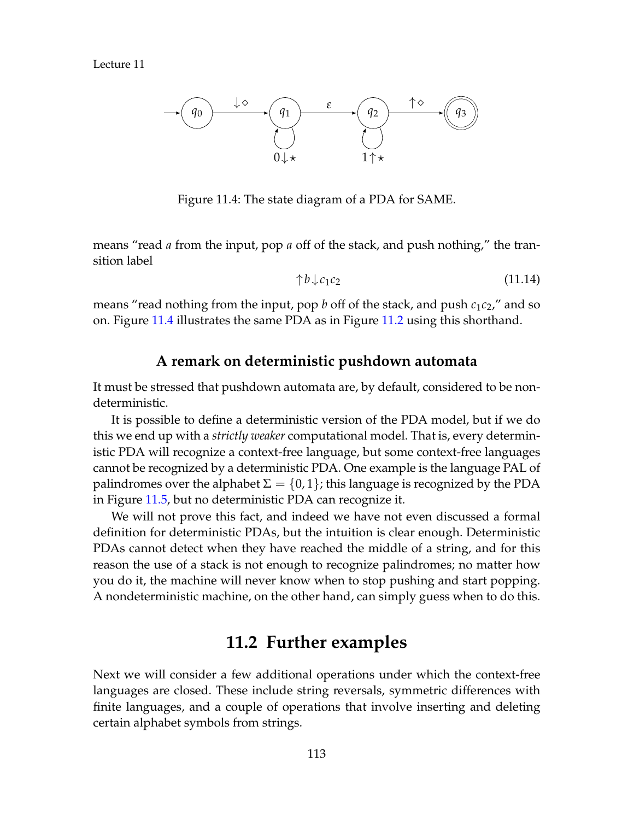

<span id="page-6-0"></span>Figure 11.4: The state diagram of a PDA for SAME.

means "read *a* from the input, pop *a* off of the stack, and push nothing," the transition label

$$
\uparrow b \downarrow c_1 c_2 \tag{11.14}
$$

means "read nothing from the input, pop *b* off of the stack, and push  $c_1c_2$ ," and so on. Figure [11.4](#page-6-0) illustrates the same PDA as in Figure [11.2](#page-1-1) using this shorthand.

## **A remark on deterministic pushdown automata**

It must be stressed that pushdown automata are, by default, considered to be nondeterministic.

It is possible to define a deterministic version of the PDA model, but if we do this we end up with a *strictly weaker* computational model. That is, every deterministic PDA will recognize a context-free language, but some context-free languages cannot be recognized by a deterministic PDA. One example is the language PAL of palindromes over the alphabet  $\Sigma = \{0,1\}$ ; this language is recognized by the PDA in Figure [11.5,](#page-7-0) but no deterministic PDA can recognize it.

We will not prove this fact, and indeed we have not even discussed a formal definition for deterministic PDAs, but the intuition is clear enough. Deterministic PDAs cannot detect when they have reached the middle of a string, and for this reason the use of a stack is not enough to recognize palindromes; no matter how you do it, the machine will never know when to stop pushing and start popping. A nondeterministic machine, on the other hand, can simply guess when to do this.

# **11.2 Further examples**

Next we will consider a few additional operations under which the context-free languages are closed. These include string reversals, symmetric differences with finite languages, and a couple of operations that involve inserting and deleting certain alphabet symbols from strings.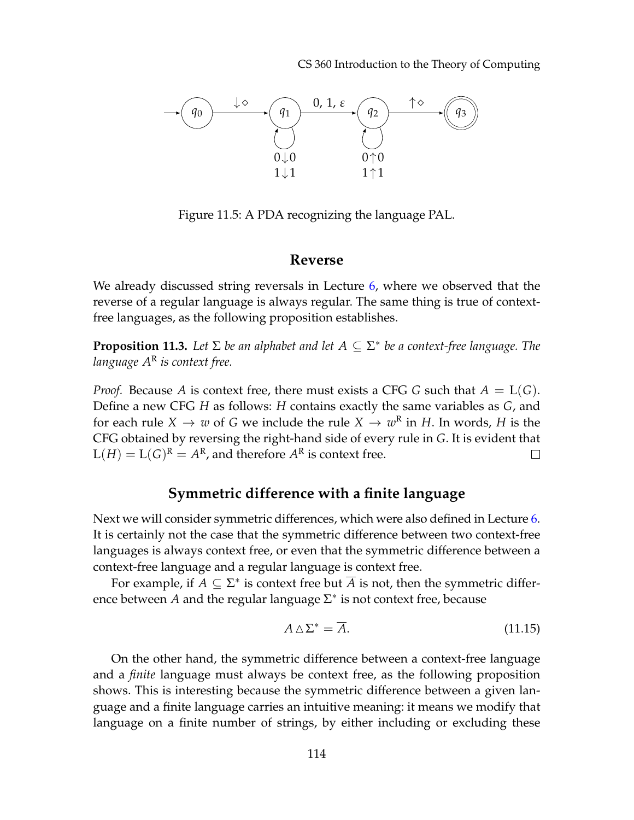CS 360 Introduction to the Theory of Computing



<span id="page-7-0"></span>Figure 11.5: A PDA recognizing the language PAL.

#### **Reverse**

We already discussed string reversals in Lecture [6,](#page--1-0) where we observed that the reverse of a regular language is always regular. The same thing is true of contextfree languages, as the following proposition establishes.

**Proposition 11.3.** *Let* Σ *be an alphabet and let A* ⊆ Σ ∗ *be a context-free language. The language A*<sup>R</sup> *is context free.*

*Proof.* Because *A* is context free, there must exists a CFG *G* such that *A* = L(*G*). Define a new CFG *H* as follows: *H* contains exactly the same variables as *G*, and for each rule  $X \to w$  of G we include the rule  $X \to w^R$  in H. In words, H is the CFG obtained by reversing the right-hand side of every rule in *G*. It is evident that  $L(H) = L(G)^{R} = A^{R}$ , and therefore  $A^{R}$  is context free.  $\Box$ 

## **Symmetric difference with a finite language**

Next we will consider symmetric differences, which were also defined in Lecture [6.](#page--1-0) It is certainly not the case that the symmetric difference between two context-free languages is always context free, or even that the symmetric difference between a context-free language and a regular language is context free.

For example, if  $A \subseteq \Sigma^*$  is context free but  $\overline{A}$  is not, then the symmetric difference between A and the regular language  $\Sigma^*$  is not context free, because

$$
A \triangle \Sigma^* = \overline{A}.\tag{11.15}
$$

On the other hand, the symmetric difference between a context-free language and a *finite* language must always be context free, as the following proposition shows. This is interesting because the symmetric difference between a given language and a finite language carries an intuitive meaning: it means we modify that language on a finite number of strings, by either including or excluding these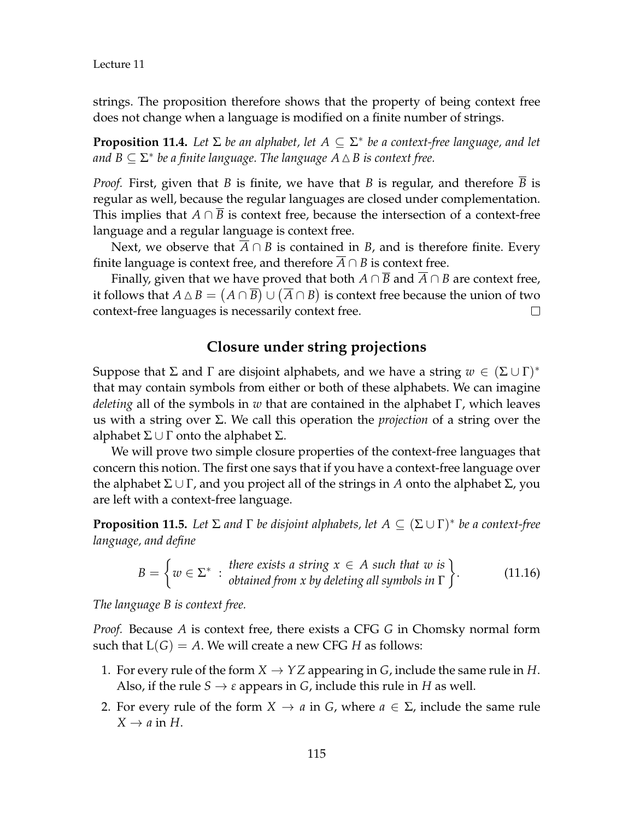strings. The proposition therefore shows that the property of being context free does not change when a language is modified on a finite number of strings.

**Proposition 11.4.** *Let* Σ *be an alphabet, let A* ⊆ Σ ∗ *be a context-free language, and let* and  $B\subseteq \Sigma^*$  be a finite language. The language  $A\mathbin{\vartriangle} B$  is context free.

*Proof.* First, given that *B* is finite, we have that *B* is regular, and therefore *B* is regular as well, because the regular languages are closed under complementation. This implies that  $A \cap \overline{B}$  is context free, because the intersection of a context-free language and a regular language is context free.

Next, we observe that  $\overline{A} \cap B$  is contained in *B*, and is therefore finite. Every finite language is context free, and therefore  $A \cap B$  is context free.

Finally, given that we have proved that both  $A \cap \overline{B}$  and  $\overline{A} \cap B$  are context free, it follows that  $A \triangle B = (A \cap \overline{B}) \cup (\overline{A} \cap B)$  is context free because the union of two context-free languages is necessarily context free.  $\Box$ 

## **Closure under string projections**

Suppose that  $\Sigma$  and  $\Gamma$  are disjoint alphabets, and we have a string  $w \in (\Sigma \cup \Gamma)^*$ that may contain symbols from either or both of these alphabets. We can imagine *deleting* all of the symbols in *w* that are contained in the alphabet Γ, which leaves us with a string over Σ. We call this operation the *projection* of a string over the alphabet  $\Sigma \cup \Gamma$  onto the alphabet  $\Sigma$ .

We will prove two simple closure properties of the context-free languages that concern this notion. The first one says that if you have a context-free language over the alphabet  $\Sigma \cup \Gamma$ , and you project all of the strings in *A* onto the alphabet  $\Sigma$ , you are left with a context-free language.

<span id="page-8-0"></span>**Proposition 11.5.** Let  $\Sigma$  and  $\Gamma$  be disjoint alphabets, let  $A \subseteq (\Sigma \cup \Gamma)^*$  be a context-free *language, and define*

$$
B = \left\{ w \in \Sigma^* : \begin{array}{l}\n\text{there exists a string } x \in A \text{ such that } w \text{ is} \\
\text{obtained from } x \text{ by deleting all symbols in } \Gamma\n\end{array}\right\}.
$$
\n(11.16)

*The language B is context free.*

*Proof.* Because *A* is context free, there exists a CFG *G* in Chomsky normal form such that  $L(G) = A$ . We will create a new CFG *H* as follows:

- 1. For every rule of the form  $X \to YZ$  appearing in *G*, include the same rule in *H*. Also, if the rule  $S \rightarrow \varepsilon$  appears in *G*, include this rule in *H* as well.
- 2. For every rule of the form  $X \to a$  in *G*, where  $a \in \Sigma$ , include the same rule  $X \rightarrow a$  in *H*.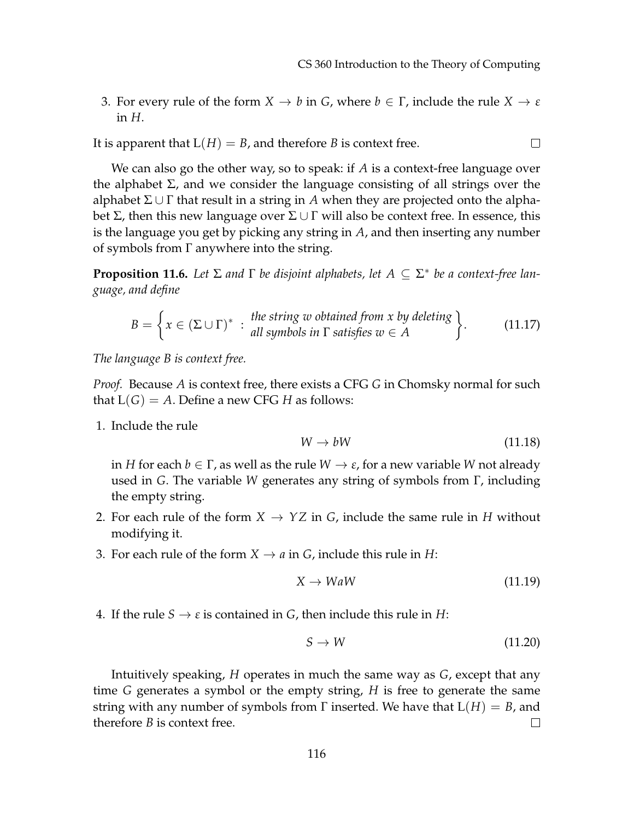3. For every rule of the form  $X \to b$  in *G*, where  $b \in \Gamma$ , include the rule  $X \to \varepsilon$ in *H*.

It is apparent that  $L(H) = B$ , and therefore *B* is context free.  $\Box$ 

We can also go the other way, so to speak: if *A* is a context-free language over the alphabet  $\Sigma$ , and we consider the language consisting of all strings over the alphabet  $\Sigma \cup \Gamma$  that result in a string in A when they are projected onto the alphabet  $\Sigma$ , then this new language over  $\Sigma \cup \Gamma$  will also be context free. In essence, this is the language you get by picking any string in *A*, and then inserting any number of symbols from Γ anywhere into the string.

<span id="page-9-0"></span>**Proposition 11.6.** Let  $\Sigma$  and  $\Gamma$  be disjoint alphabets, let  $A \subseteq \Sigma^*$  be a context-free lan*guage, and define*

$$
B = \left\{ x \in (\Sigma \cup \Gamma)^{*} : \begin{array}{l} the \text{ string } w \text{ obtained from } x \text{ by deleting} \\ all \text{ symbols in } \Gamma \text{ satisfies } w \in A \end{array} \right\}.
$$
 (11.17)

*The language B is context free.*

*Proof.* Because *A* is context free, there exists a CFG *G* in Chomsky normal for such that  $L(G) = A$ . Define a new CFG *H* as follows:

1. Include the rule

$$
W \to bW \tag{11.18}
$$

in *H* for each  $b \in \Gamma$ , as well as the rule  $W \to \varepsilon$ , for a new variable *W* not already used in *G*. The variable *W* generates any string of symbols from Γ, including the empty string.

- 2. For each rule of the form  $X \to YZ$  in *G*, include the same rule in *H* without modifying it.
- 3. For each rule of the form  $X \to a$  in *G*, include this rule in *H*:

$$
X \to WaW \tag{11.19}
$$

4. If the rule  $S \rightarrow \varepsilon$  is contained in *G*, then include this rule in *H*:

$$
S \to W \tag{11.20}
$$

Intuitively speaking, *H* operates in much the same way as *G*, except that any time *G* generates a symbol or the empty string, *H* is free to generate the same string with any number of symbols from  $\Gamma$  inserted. We have that  $L(H) = B$ , and therefore *B* is context free.  $\Box$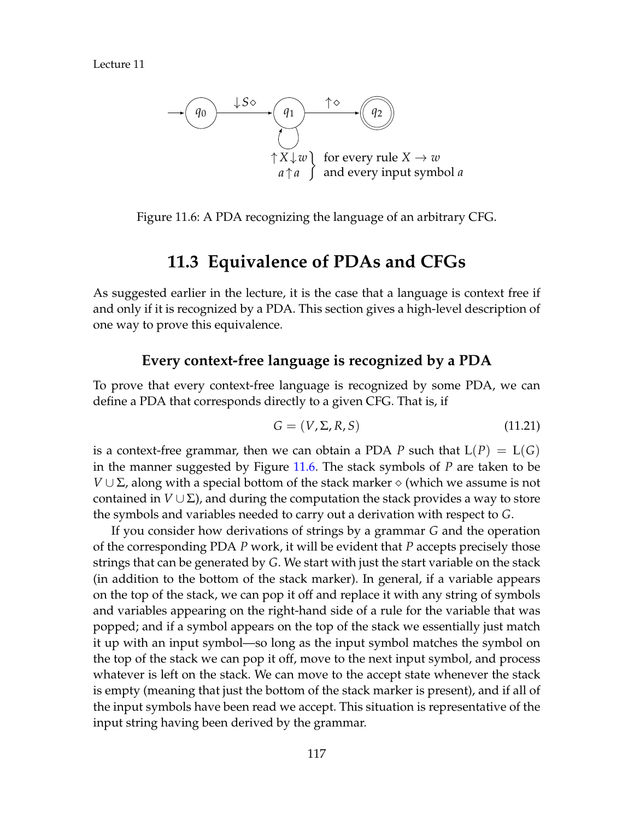

Figure 11.6: A PDA recognizing the language of an arbitrary CFG.

# <span id="page-10-0"></span>**11.3 Equivalence of PDAs and CFGs**

As suggested earlier in the lecture, it is the case that a language is context free if and only if it is recognized by a PDA. This section gives a high-level description of one way to prove this equivalence.

### **Every context-free language is recognized by a PDA**

To prove that every context-free language is recognized by some PDA, we can define a PDA that corresponds directly to a given CFG. That is, if

$$
G = (V, \Sigma, R, S) \tag{11.21}
$$

is a context-free grammar, then we can obtain a PDA *P* such that  $L(P) = L(G)$ in the manner suggested by Figure [11.6.](#page-10-0) The stack symbols of *P* are taken to be *V* ∪  $\Sigma$ , along with a special bottom of the stack marker  $\diamond$  (which we assume is not contained in  $V \cup Σ$ ), and during the computation the stack provides a way to store the symbols and variables needed to carry out a derivation with respect to *G*.

If you consider how derivations of strings by a grammar *G* and the operation of the corresponding PDA *P* work, it will be evident that *P* accepts precisely those strings that can be generated by *G*. We start with just the start variable on the stack (in addition to the bottom of the stack marker). In general, if a variable appears on the top of the stack, we can pop it off and replace it with any string of symbols and variables appearing on the right-hand side of a rule for the variable that was popped; and if a symbol appears on the top of the stack we essentially just match it up with an input symbol—so long as the input symbol matches the symbol on the top of the stack we can pop it off, move to the next input symbol, and process whatever is left on the stack. We can move to the accept state whenever the stack is empty (meaning that just the bottom of the stack marker is present), and if all of the input symbols have been read we accept. This situation is representative of the input string having been derived by the grammar.